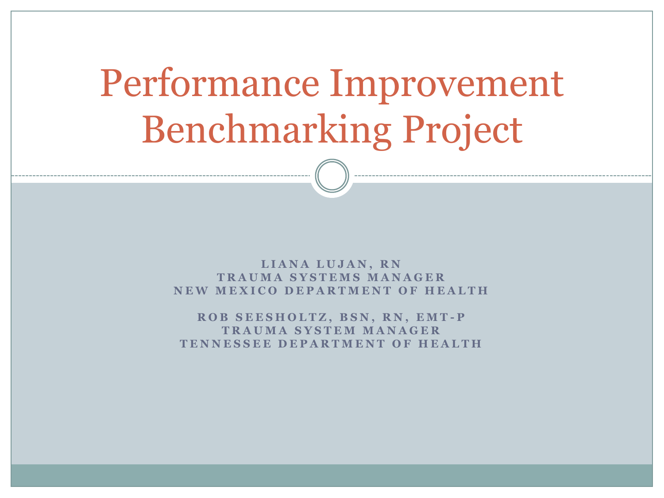# Performance Improvement Benchmarking Project

LIANA LUJAN, RN **T R A U M A S Y S T E M S M A N A G E R NEW MEXICO DEPARTMENT OF HEALTH** 

**R O B S E E S H O L T Z , B S N , R N , E M T - P T R A U M A S Y S T E M M A N A G E R T E N N E S S E E D E P A R T M E N T O F H E A L T H**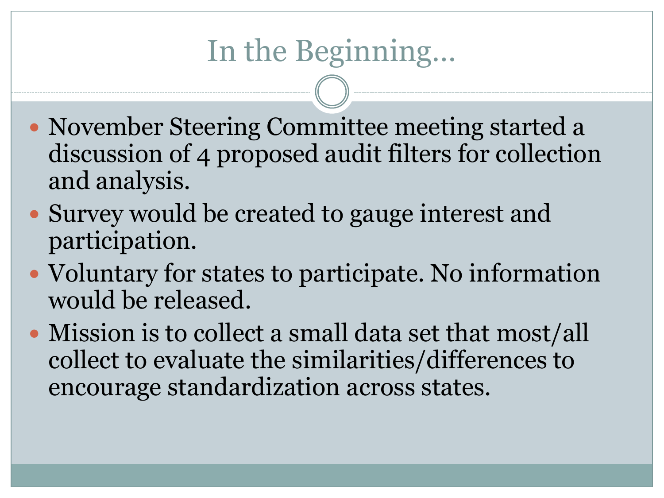# In the Beginning…

- November Steering Committee meeting started a discussion of 4 proposed audit filters for collection and analysis.
- Survey would be created to gauge interest and participation.
- Voluntary for states to participate. No information would be released.
- Mission is to collect a small data set that most/all collect to evaluate the similarities/differences to encourage standardization across states.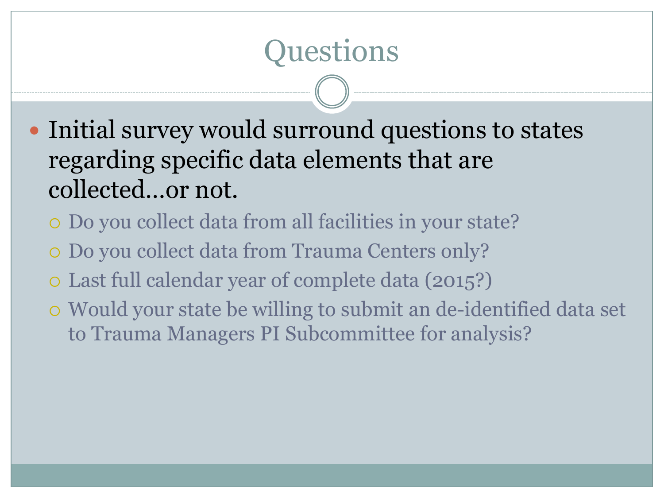# Questions

- Initial survey would surround questions to states regarding specific data elements that are collected…or not.
	- Do you collect data from all facilities in your state?
	- Do you collect data from Trauma Centers only?
	- Last full calendar year of complete data (2015?)
	- Would your state be willing to submit an de-identified data set to Trauma Managers PI Subcommittee for analysis?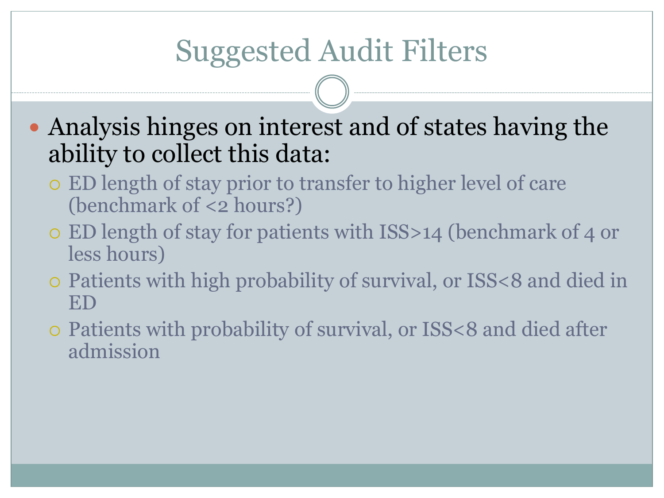# Suggested Audit Filters

 Analysis hinges on interest and of states having the ability to collect this data:

- ED length of stay prior to transfer to higher level of care (benchmark of <2 hours?)
- ED length of stay for patients with ISS>14 (benchmark of 4 or less hours)
- Patients with high probability of survival, or ISS<8 and died in ED
- Patients with probability of survival, or ISS<8 and died after admission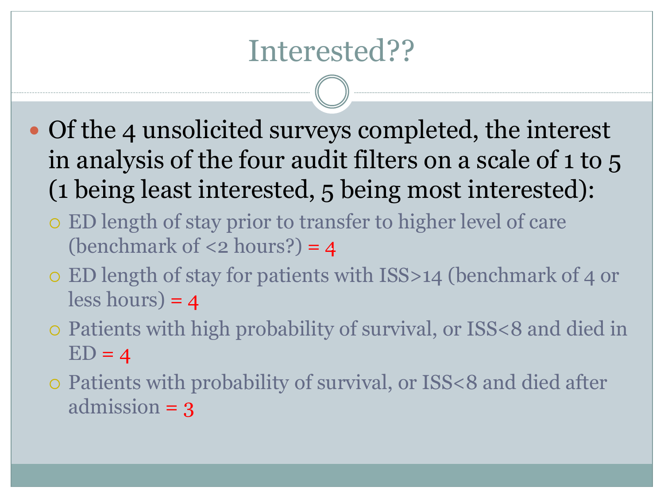#### Interested??

- Of the 4 unsolicited surveys completed, the interest in analysis of the four audit filters on a scale of 1 to 5 (1 being least interested, 5 being most interested):
	- ED length of stay prior to transfer to higher level of care (benchmark of  $\langle 2 \text{ hours} \rangle = 4$
	- ED length of stay for patients with ISS>14 (benchmark of 4 or  $less hours) = 4$
	- Patients with high probability of survival, or ISS<8 and died in  $ED = 4$
	- Patients with probability of survival, or ISS<8 and died after admission = 3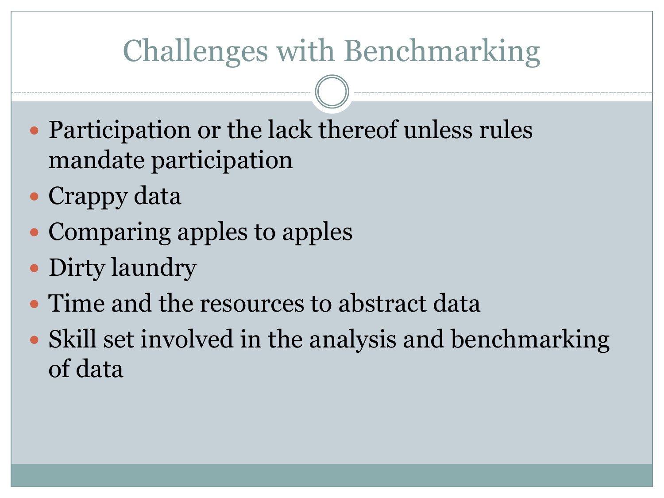## Challenges with Benchmarking

- Participation or the lack thereof unless rules mandate participation
- Crappy data
- Comparing apples to apples
- Dirty laundry
- Time and the resources to abstract data
- Skill set involved in the analysis and benchmarking of data